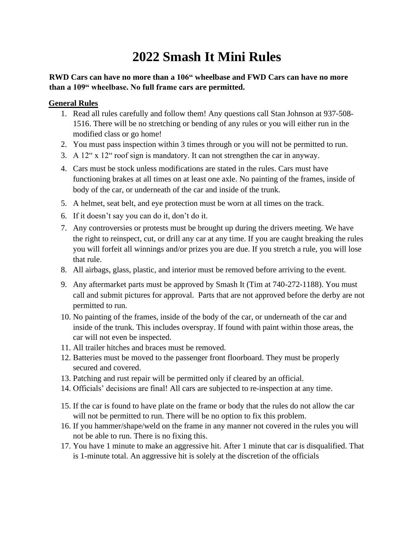# **2022 Smash It Mini Rules**

#### **RWD Cars can have no more than a 106" wheelbase and FWD Cars can have no more than a 109" wheelbase. No full frame cars are permitted.**

#### **General Rules**

- 1. Read all rules carefully and follow them! Any questions call Stan Johnson at 937-508- 1516. There will be no stretching or bending of any rules or you will either run in the modified class or go home!
- 2. You must pass inspection within 3 times through or you will not be permitted to run.
- 3. A 12" x 12" roof sign is mandatory. It can not strengthen the car in anyway.
- 4. Cars must be stock unless modifications are stated in the rules. Cars must have functioning brakes at all times on at least one axle. No painting of the frames, inside of body of the car, or underneath of the car and inside of the trunk.
- 5. A helmet, seat belt, and eye protection must be worn at all times on the track.
- 6. If it doesn't say you can do it, don't do it.
- 7. Any controversies or protests must be brought up during the drivers meeting. We have the right to reinspect, cut, or drill any car at any time. If you are caught breaking the rules you will forfeit all winnings and/or prizes you are due. If you stretch a rule, you will lose that rule.
- 8. All airbags, glass, plastic, and interior must be removed before arriving to the event.
- 9. Any aftermarket parts must be approved by Smash It (Tim at 740-272-1188). You must call and submit pictures for approval. Parts that are not approved before the derby are not permitted to run.
- 10. No painting of the frames, inside of the body of the car, or underneath of the car and inside of the trunk. This includes overspray. If found with paint within those areas, the car will not even be inspected.
- 11. All trailer hitches and braces must be removed.
- 12. Batteries must be moved to the passenger front floorboard. They must be properly secured and covered.
- 13. Patching and rust repair will be permitted only if cleared by an official.
- 14. Officials' decisions are final! All cars are subjected to re-inspection at any time.
- 15. If the car is found to have plate on the frame or body that the rules do not allow the car will not be permitted to run. There will be no option to fix this problem.
- 16. If you hammer/shape/weld on the frame in any manner not covered in the rules you will not be able to run. There is no fixing this.
- 17. You have 1 minute to make an aggressive hit. After 1 minute that car is disqualified. That is 1-minute total. An aggressive hit is solely at the discretion of the officials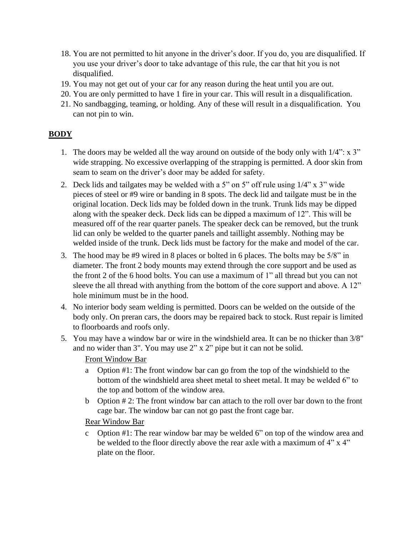- 18. You are not permitted to hit anyone in the driver's door. If you do, you are disqualified. If you use your driver's door to take advantage of this rule, the car that hit you is not disqualified.
- 19. You may not get out of your car for any reason during the heat until you are out.
- 20. You are only permitted to have 1 fire in your car. This will result in a disqualification.
- 21. No sandbagging, teaming, or holding. Any of these will result in a disqualification. You can not pin to win.

## **BODY**

- 1. The doors may be welded all the way around on outside of the body only with 1/4": x 3" wide strapping. No excessive overlapping of the strapping is permitted. A door skin from seam to seam on the driver's door may be added for safety.
- 2. Deck lids and tailgates may be welded with a 5" on 5" off rule using 1/4" x 3" wide pieces of steel or #9 wire or banding in 8 spots. The deck lid and tailgate must be in the original location. Deck lids may be folded down in the trunk. Trunk lids may be dipped along with the speaker deck. Deck lids can be dipped a maximum of 12". This will be measured off of the rear quarter panels. The speaker deck can be removed, but the trunk lid can only be welded to the quarter panels and taillight assembly. Nothing may be welded inside of the trunk. Deck lids must be factory for the make and model of the car.
- 3. The hood may be #9 wired in 8 places or bolted in 6 places. The bolts may be 5/8" in diameter. The front 2 body mounts may extend through the core support and be used as the front 2 of the 6 hood bolts. You can use a maximum of 1" all thread but you can not sleeve the all thread with anything from the bottom of the core support and above. A 12" hole minimum must be in the hood.
- 4. No interior body seam welding is permitted. Doors can be welded on the outside of the body only. On preran cars, the doors may be repaired back to stock. Rust repair is limited to floorboards and roofs only.
- 5. You may have a window bar or wire in the windshield area. It can be no thicker than 3/8" and no wider than 3". You may use 2" x 2" pipe but it can not be solid.

Front Window Bar

- a Option #1: The front window bar can go from the top of the windshield to the bottom of the windshield area sheet metal to sheet metal. It may be welded 6" to the top and bottom of the window area.
- b Option # 2: The front window bar can attach to the roll over bar down to the front cage bar. The window bar can not go past the front cage bar.

#### Rear Window Bar

c Option #1: The rear window bar may be welded 6" on top of the window area and be welded to the floor directly above the rear axle with a maximum of 4" x 4" plate on the floor.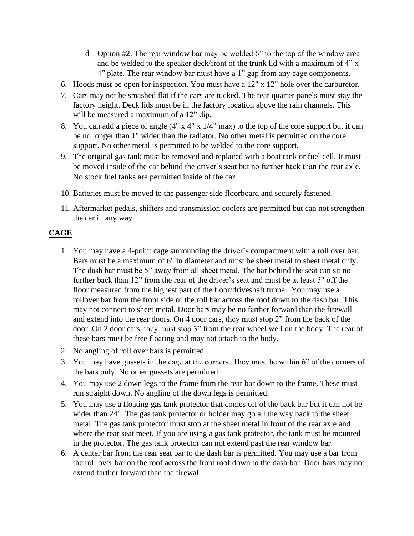- d Option #2: The rear window bar may be welded 6" to the top of the window area and be welded to the speaker deck/front of the trunk lid with a maximum of 4" x 4" plate. The rear window bar must have a 1" gap from any cage components.
- 6. Hoods must be open for inspection. You must have a 12" x 12" hole over the carburetor.
- 7. Cars may not be smashed flat if the cars are tucked. The rear quarter panels must stay the factory height. Deck lids must be in the factory location above the rain channels. This will be measured a maximum of a 12" dip.
- 8. You can add a piece of angle (4" x 4" x 1/4" max) to the top of the core support but it can be no longer than 1" wider than the radiator. No other metal is permitted on the core support. No other metal is permitted to be welded to the core support.
- 9. The original gas tank must be removed and replaced with a boat tank or fuel cell. It must be moved inside of the car behind the driver's seat but no further back than the rear axle. No stock fuel tanks are permitted inside of the car.
- 10. Batteries must be moved to the passenger side floorboard and securely fastened.
- 11. Aftermarket pedals, shifters and transmission coolers are permitted but can not strengthen the car in any way.

## **CAGE**

- 1. You may have a 4-point cage surrounding the driver's compartment with a roll over bar. Bars must be a maximum of 6" in diameter and must be sheet metal to sheet metal only. The dash bar must be 5" away from all sheet metal. The bar behind the seat can sit no further back than 12" from the rear of the driver's seat and must be at least 5" off the floor measured from the highest part of the floor/driveshaft tunnel. You may use a rollover bar from the front side of the roll bar across the roof down to the dash bar. This may not connect to sheet metal. Door bars may be no farther forward than the firewall and extend into the rear doors. On 4 door cars, they must stop 2" from the back of the door. On 2 door cars, they must stop 3" from the rear wheel well on the body. The rear of these bars must be free floating and may not attach to the body.
- 2. No angling of roll over bars is permitted.
- 3. You may have gussets in the cage at the corners. They must be within 6" of the corners of the bars only. No other gussets are permitted.
- 4. You may use 2 down legs to the frame from the rear bar down to the frame. These must run straight down. No angling of the down legs is permitted.
- 5. You may use a floating gas tank protector that comes off of the back bar but it can not be wider than 24". The gas tank protector or holder may go all the way back to the sheet metal. The gas tank protector must stop at the sheet metal in front of the rear axle and where the rear seat meet. If you are using a gas tank protector, the tank must be mounted in the protector. The gas tank protector can not extend past the rear window bar.
- 6. A center bar from the rear seat bar to the dash bar is permitted. You may use a bar from the roll over bar on the roof across the front roof down to the dash bar. Door bars may not extend farther forward than the firewall.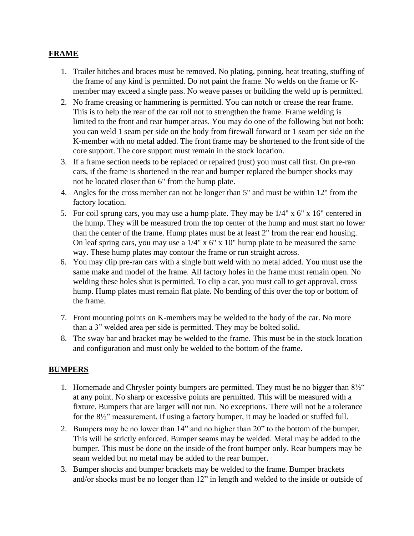#### **FRAME**

- 1. Trailer hitches and braces must be removed. No plating, pinning, heat treating, stuffing of the frame of any kind is permitted. Do not paint the frame. No welds on the frame or Kmember may exceed a single pass. No weave passes or building the weld up is permitted.
- 2. No frame creasing or hammering is permitted. You can notch or crease the rear frame. This is to help the rear of the car roll not to strengthen the frame. Frame welding is limited to the front and rear bumper areas. You may do one of the following but not both: you can weld 1 seam per side on the body from firewall forward or 1 seam per side on the K-member with no metal added. The front frame may be shortened to the front side of the core support. The core support must remain in the stock location.
- 3. If a frame section needs to be replaced or repaired (rust) you must call first. On pre-ran cars, if the frame is shortened in the rear and bumper replaced the bumper shocks may not be located closer than 6" from the hump plate.
- 4. Angles for the cross member can not be longer than 5" and must be within 12" from the factory location.
- 5. For coil sprung cars, you may use a hump plate. They may be 1/4" x 6" x 16" centered in the hump. They will be measured from the top center of the hump and must start no lower than the center of the frame. Hump plates must be at least 2" from the rear end housing. On leaf spring cars, you may use a  $1/4$ " x 6" x 10" hump plate to be measured the same way. These hump plates may contour the frame or run straight across.
- 6. You may clip pre-ran cars with a single butt weld with no metal added. You must use the same make and model of the frame. All factory holes in the frame must remain open. No welding these holes shut is permitted. To clip a car, you must call to get approval. cross hump. Hump plates must remain flat plate. No bending of this over the top or bottom of the frame.
- 7. Front mounting points on K-members may be welded to the body of the car. No more than a 3" welded area per side is permitted. They may be bolted solid.
- 8. The sway bar and bracket may be welded to the frame. This must be in the stock location and configuration and must only be welded to the bottom of the frame.

#### **BUMPERS**

- 1. Homemade and Chrysler pointy bumpers are permitted. They must be no bigger than 8½" at any point. No sharp or excessive points are permitted. This will be measured with a fixture. Bumpers that are larger will not run. No exceptions. There will not be a tolerance for the 8½" measurement. If using a factory bumper, it may be loaded or stuffed full.
- 2. Bumpers may be no lower than 14" and no higher than 20" to the bottom of the bumper. This will be strictly enforced. Bumper seams may be welded. Metal may be added to the bumper. This must be done on the inside of the front bumper only. Rear bumpers may be seam welded but no metal may be added to the rear bumper.
- 3. Bumper shocks and bumper brackets may be welded to the frame. Bumper brackets and/or shocks must be no longer than 12" in length and welded to the inside or outside of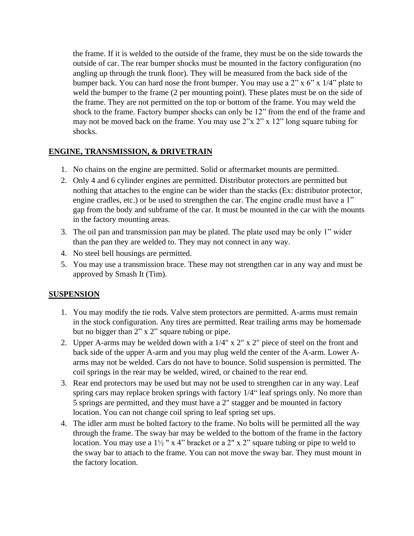the frame. If it is welded to the outside of the frame, they must be on the side towards the outside of car. The rear bumper shocks must be mounted in the factory configuration (no angling up through the trunk floor). They will be measured from the back side of the bumper back. You can hard nose the front bumper. You may use a  $2$ " x 6" x  $1/4$ " plate to weld the bumper to the frame (2 per mounting point). These plates must be on the side of the frame. They are not permitted on the top or bottom of the frame. You may weld the shock to the frame. Factory bumper shocks can only be 12" from the end of the frame and may not be moved back on the frame. You may use 2"x 2" x 12" long square tubing for shocks.

## **ENGINE, TRANSMISSION, & DRIVETRAIN**

- 1. No chains on the engine are permitted. Solid or aftermarket mounts are permitted.
- 2. Only 4 and 6 cylinder engines are permitted. Distributor protectors are permitted but nothing that attaches to the engine can be wider than the stacks (Ex: distributor protector, engine cradles, etc.) or be used to strengthen the car. The engine cradle must have a 1" gap from the body and subframe of the car. It must be mounted in the car with the mounts in the factory mounting areas.
- 3. The oil pan and transmission pan may be plated. The plate used may be only 1" wider than the pan they are welded to. They may not connect in any way.
- 4. No steel bell housings are permitted.
- 5. You may use a transmission brace. These may not strengthen car in any way and must be approved by Smash It (Tim).

#### **SUSPENSION**

- 1. You may modify the tie rods. Valve stem protectors are permitted. A-arms must remain in the stock configuration. Any tires are permitted. Rear trailing arms may be homemade but no bigger than 2" x 2" square tubing or pipe.
- 2. Upper A-arms may be welded down with a 1/4" x 2" x 2" piece of steel on the front and back side of the upper A-arm and you may plug weld the center of the A-arm. Lower Aarms may not be welded. Cars do not have to bounce. Solid suspension is permitted. The coil springs in the rear may be welded, wired, or chained to the rear end.
- 3. Rear end protectors may be used but may not be used to strengthen car in any way. Leaf spring cars may replace broken springs with factory 1/4" leaf springs only. No more than 5 springs are permitted, and they must have a 2" stagger and be mounted in factory location. You can not change coil spring to leaf spring set ups.
- 4. The idler arm must be bolted factory to the frame. No bolts will be permitted all the way through the frame. The sway bar may be welded to the bottom of the frame in the factory location. You may use a  $1\frac{1}{2}$  " x 4" bracket or a 2" x 2" square tubing or pipe to weld to the sway bar to attach to the frame. You can not move the sway bar. They must mount in the factory location.